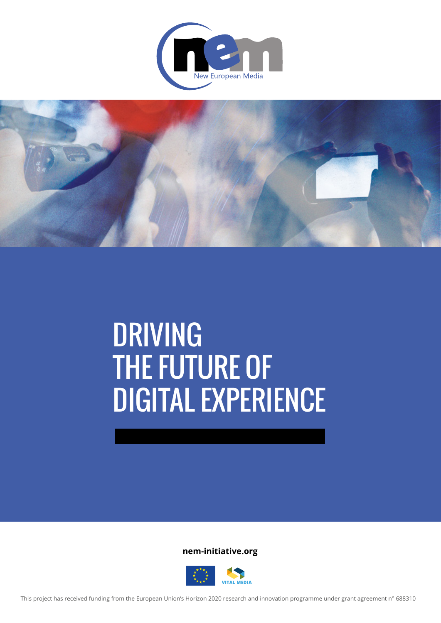



# **DRIVING** THE FUTURE OF DIGITAL EXPERIENCE

**nem-initiative.org**

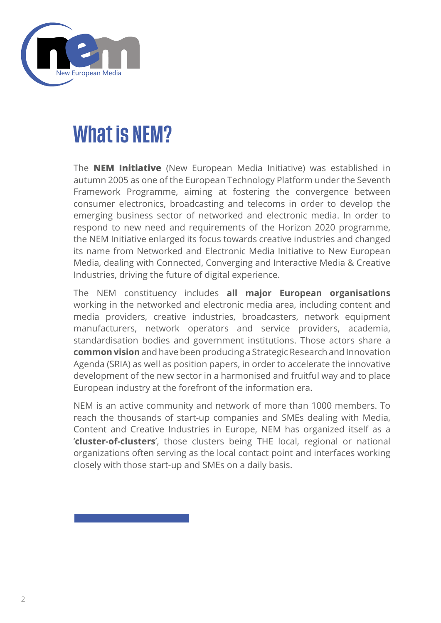

### What is NEM?

The **NEM Initiative** (New European Media Initiative) was established in autumn 2005 as one of the European Technology Platform under the Seventh Framework Programme, aiming at fostering the convergence between consumer electronics, broadcasting and telecoms in order to develop the emerging business sector of networked and electronic media. In order to respond to new need and requirements of the Horizon 2020 programme, the NEM Initiative enlarged its focus towards creative industries and changed its name from Networked and Electronic Media Initiative to New European Media, dealing with Connected, Converging and Interactive Media & Creative Industries, driving the future of digital experience.

The NEM constituency includes **all major European organisations** working in the networked and electronic media area, including content and media providers, creative industries, broadcasters, network equipment manufacturers, network operators and service providers, academia, standardisation bodies and government institutions. Those actors share a **common vision** and have been producing a Strategic Research and Innovation Agenda (SRIA) as well as position papers, in order to accelerate the innovative development of the new sector in a harmonised and fruitful way and to place European industry at the forefront of the information era.

NEM is an active community and network of more than 1000 members. To reach the thousands of start-up companies and SMEs dealing with Media, Content and Creative Industries in Europe, NEM has organized itself as a '**cluster-of-clusters**', those clusters being THE local, regional or national organizations often serving as the local contact point and interfaces working closely with those start-up and SMEs on a daily basis.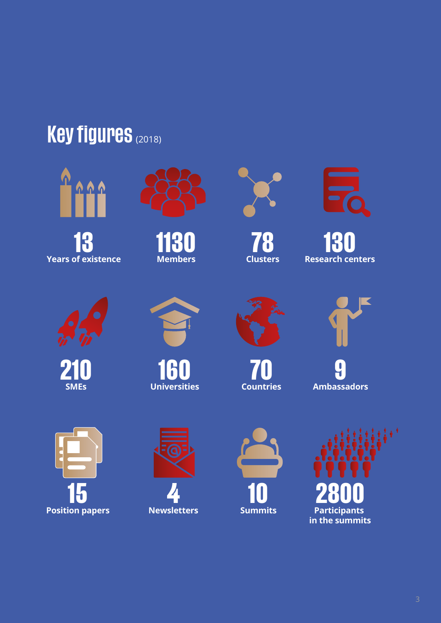## **Key figures (2018)**



**13 Years of existence**



**1130 Members**



**78 Clusters**



**130 Research centers**



**210 SMEs**



**160 Universities**



**70 Countries**



**9 Ambassadors**







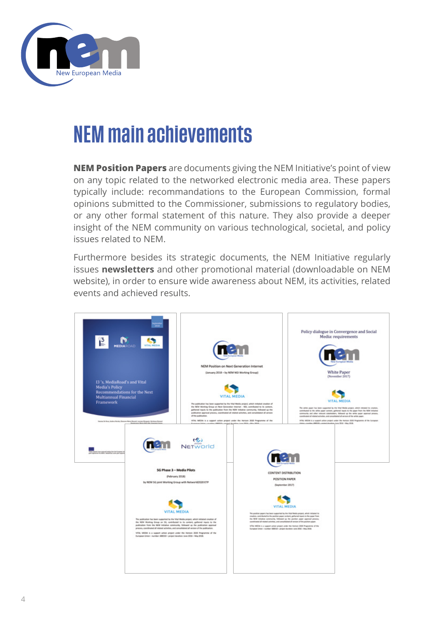

### NEM main achievements

**NEM Position Papers** are documents giving the NEM Initiative's point of view on any topic related to the networked electronic media area. These papers typically include: recommandations to the European Commission, formal opinions submitted to the Commissioner, submissions to regulatory bodies, or any other formal statement of this nature. They also provide a deeper insight of the NEM community on various technological, societal, and policy issues related to NEM.

Furthermore besides its strategic documents, the NEM Initiative regularly issues **[newsletters](https://nem-initiative.org/?s=newsletter)** and other promotional material (downloadable on NEM website), in order to ensure wide awareness about NEM, its activities, related events and achieved results.

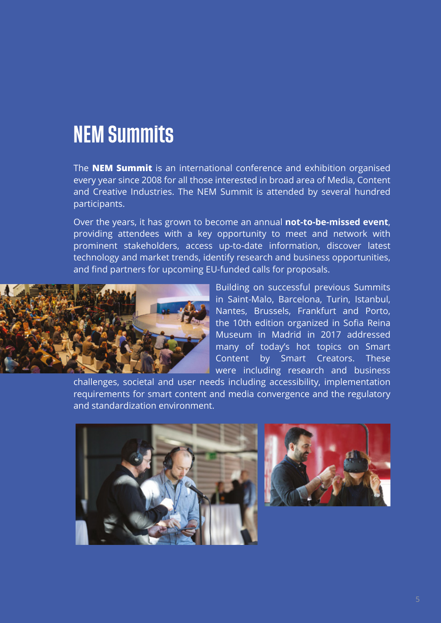### NEM Summits

The **NEM Summit** is an international conference and exhibition organised every year since 2008 for all those interested in broad area of Media, Content and Creative Industries. The NEM Summit is attended by several hundred participants.

Over the years, it has grown to become an annual **not-to-be-missed event**, providing attendees with a key opportunity to meet and network with prominent stakeholders, access up-to-date information, discover latest technology and market trends, identify research and business opportunities, and find partners for upcoming EU-funded calls for proposals.



Building on successful previous [Summits](https://nem-initiative.org/nem-summit-past-events/) in Saint-Malo, Barcelona, Turin, Istanbul, Nantes, Brussels, Frankfurt and Porto, the 10th edition organized in Sofia Reina Museum in Madrid in 2017 addressed many of today's hot topics on Smart Content by Smart Creators. These were including research and business

challenges, societal and user needs including accessibility, implementation requirements for smart content and media convergence and the regulatory and standardization environment.



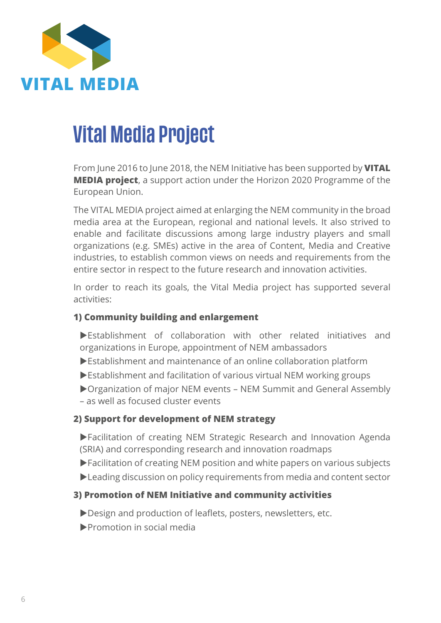

### Vital Media Project

From June 2016 to June 2018, the NEM Initiative has been supported by **VITAL MEDIA project**, a support action under the Horizon 2020 Programme of the European Union.

The VITAL MEDIA project aimed at enlarging the NEM community in the broad media area at the European, regional and national levels. It also strived to enable and facilitate discussions among large industry players and small organizations (e.g. SMEs) active in the area of Content, Media and Creative industries, to establish common views on needs and requirements from the entire sector in respect to the future research and innovation activities.

In order to reach its goals, the Vital Media project has supported several activities:

#### **1) Community building and enlargement**

- Establishment of collaboration with other related initiatives and organizations in Europe, appointment of NEM ambassadors
- Establishment and maintenance of an online collaboration platform
- Establishment and facilitation of various virtual NEM working groups
- Organization of major NEM events NEM Summit and General Assembly
- as well as focused cluster events

#### **2) Support for development of NEM strategy**

- Facilitation of creating NEM Strategic Research and Innovation Agenda (SRIA) and corresponding research and innovation roadmaps
- Facilitation of creating NEM position and white papers on various subjects
- Leading discussion on policy requirements from media and content sector

#### **3) Promotion of NEM Initiative and community activities**

- Design and production of leaflets, posters, newsletters, etc.
- Promotion in social media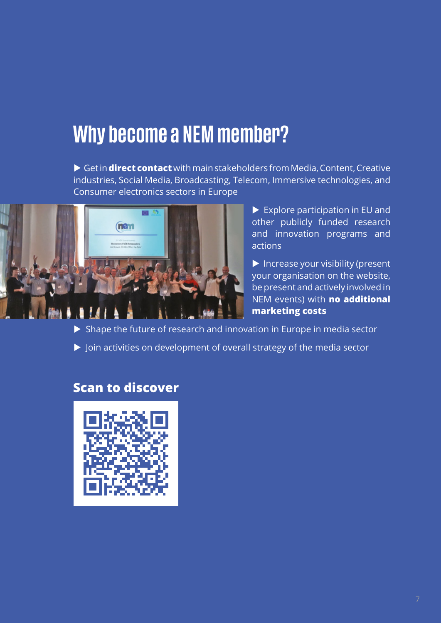### Why become a NEM member?

 Get in **direct contact** with main stakeholders from Media, Content, Creative industries, Social Media, Broadcasting, Telecom, Immersive technologies, and Consumer electronics sectors in Europe



 $\blacktriangleright$  Explore participation in EU and other publicly funded research and innovation programs and actions

 $\blacktriangleright$  Increase your visibility (present your organisation on the website, be present and actively involved in NEM events) with **no additional marketing costs**

 $\triangleright$  Shape the future of research and innovation in Europe in media sector

Join activities on development of overall strategy of the media sector

### **Scan to discover**